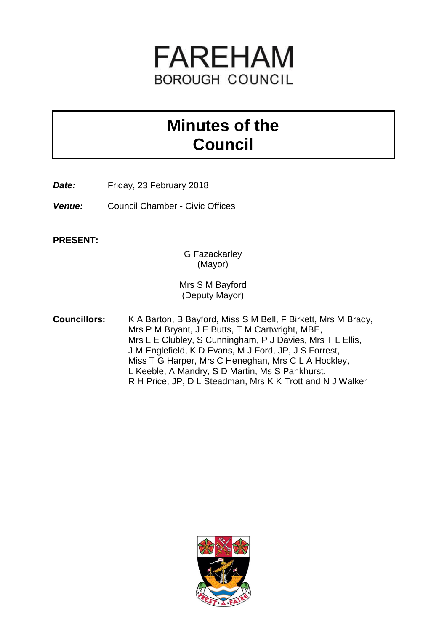

# **Minutes of the Council**

**Date:** Friday, 23 February 2018

*Venue:* Council Chamber - Civic Offices

**PRESENT:**

G Fazackarley (Mayor)

Mrs S M Bayford (Deputy Mayor)

**Councillors:** K A Barton, B Bayford, Miss S M Bell, F Birkett, Mrs M Brady, Mrs P M Bryant, J E Butts, T M Cartwright, MBE, Mrs L E Clubley, S Cunningham, P J Davies, Mrs T L Ellis, J M Englefield, K D Evans, M J Ford, JP, J S Forrest, Miss T G Harper, Mrs C Heneghan, Mrs C L A Hockley, L Keeble, A Mandry, S D Martin, Ms S Pankhurst, R H Price, JP, D L Steadman, Mrs K K Trott and N J Walker

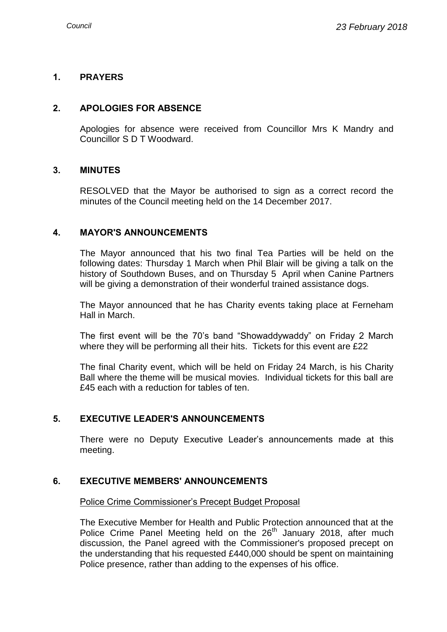### **1. PRAYERS**

#### **2. APOLOGIES FOR ABSENCE**

Apologies for absence were received from Councillor Mrs K Mandry and Councillor S D T Woodward.

#### **3. MINUTES**

RESOLVED that the Mayor be authorised to sign as a correct record the minutes of the Council meeting held on the 14 December 2017.

#### **4. MAYOR'S ANNOUNCEMENTS**

The Mayor announced that his two final Tea Parties will be held on the following dates: Thursday 1 March when Phil Blair will be giving a talk on the history of Southdown Buses, and on Thursday 5 April when Canine Partners will be giving a demonstration of their wonderful trained assistance dogs.

The Mayor announced that he has Charity events taking place at Ferneham Hall in March.

The first event will be the 70's band "Showaddywaddy" on Friday 2 March where they will be performing all their hits. Tickets for this event are £22

The final Charity event, which will be held on Friday 24 March, is his Charity Ball where the theme will be musical movies. Individual tickets for this ball are £45 each with a reduction for tables of ten.

# **5. EXECUTIVE LEADER'S ANNOUNCEMENTS**

There were no Deputy Executive Leader's announcements made at this meeting.

# **6. EXECUTIVE MEMBERS' ANNOUNCEMENTS**

Police Crime Commissioner's Precept Budget Proposal

The Executive Member for Health and Public Protection announced that at the Police Crime Panel Meeting held on the 26<sup>th</sup> January 2018, after much discussion, the Panel agreed with the Commissioner's proposed precept on the understanding that his requested £440,000 should be spent on maintaining Police presence, rather than adding to the expenses of his office.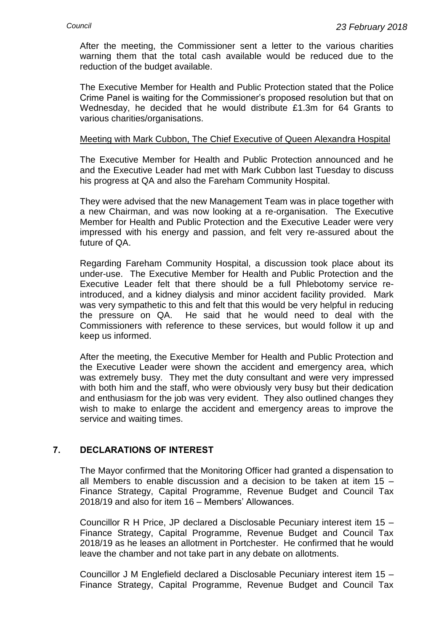After the meeting, the Commissioner sent a letter to the various charities warning them that the total cash available would be reduced due to the reduction of the budget available.

The Executive Member for Health and Public Protection stated that the Police Crime Panel is waiting for the Commissioner's proposed resolution but that on Wednesday, he decided that he would distribute £1.3m for 64 Grants to various charities/organisations.

#### Meeting with Mark Cubbon, The Chief Executive of Queen Alexandra Hospital

The Executive Member for Health and Public Protection announced and he and the Executive Leader had met with Mark Cubbon last Tuesday to discuss his progress at QA and also the Fareham Community Hospital.

They were advised that the new Management Team was in place together with a new Chairman, and was now looking at a re-organisation. The Executive Member for Health and Public Protection and the Executive Leader were very impressed with his energy and passion, and felt very re-assured about the future of QA.

Regarding Fareham Community Hospital, a discussion took place about its under-use. The Executive Member for Health and Public Protection and the Executive Leader felt that there should be a full Phlebotomy service reintroduced, and a kidney dialysis and minor accident facility provided. Mark was very sympathetic to this and felt that this would be very helpful in reducing the pressure on QA. He said that he would need to deal with the Commissioners with reference to these services, but would follow it up and keep us informed.

After the meeting, the Executive Member for Health and Public Protection and the Executive Leader were shown the accident and emergency area, which was extremely busy. They met the duty consultant and were very impressed with both him and the staff, who were obviously very busy but their dedication and enthusiasm for the job was very evident. They also outlined changes they wish to make to enlarge the accident and emergency areas to improve the service and waiting times.

### **7. DECLARATIONS OF INTEREST**

The Mayor confirmed that the Monitoring Officer had granted a dispensation to all Members to enable discussion and a decision to be taken at item 15 – Finance Strategy, Capital Programme, Revenue Budget and Council Tax 2018/19 and also for item 16 – Members' Allowances.

Councillor R H Price, JP declared a Disclosable Pecuniary interest item 15 – Finance Strategy, Capital Programme, Revenue Budget and Council Tax 2018/19 as he leases an allotment in Portchester. He confirmed that he would leave the chamber and not take part in any debate on allotments.

Councillor J M Englefield declared a Disclosable Pecuniary interest item 15 – Finance Strategy, Capital Programme, Revenue Budget and Council Tax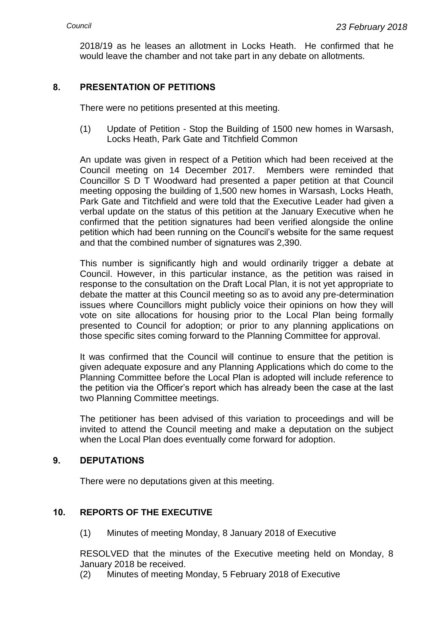2018/19 as he leases an allotment in Locks Heath. He confirmed that he would leave the chamber and not take part in any debate on allotments.

# **8. PRESENTATION OF PETITIONS**

There were no petitions presented at this meeting.

(1) Update of Petition - Stop the Building of 1500 new homes in Warsash, Locks Heath, Park Gate and Titchfield Common

An update was given in respect of a Petition which had been received at the Council meeting on 14 December 2017. Members were reminded that Councillor S D T Woodward had presented a paper petition at that Council meeting opposing the building of 1,500 new homes in Warsash, Locks Heath, Park Gate and Titchfield and were told that the Executive Leader had given a verbal update on the status of this petition at the January Executive when he confirmed that the petition signatures had been verified alongside the online petition which had been running on the Council's website for the same request and that the combined number of signatures was 2,390.

This number is significantly high and would ordinarily trigger a debate at Council. However, in this particular instance, as the petition was raised in response to the consultation on the Draft Local Plan, it is not yet appropriate to debate the matter at this Council meeting so as to avoid any pre-determination issues where Councillors might publicly voice their opinions on how they will vote on site allocations for housing prior to the Local Plan being formally presented to Council for adoption; or prior to any planning applications on those specific sites coming forward to the Planning Committee for approval.

It was confirmed that the Council will continue to ensure that the petition is given adequate exposure and any Planning Applications which do come to the Planning Committee before the Local Plan is adopted will include reference to the petition via the Officer's report which has already been the case at the last two Planning Committee meetings.

The petitioner has been advised of this variation to proceedings and will be invited to attend the Council meeting and make a deputation on the subject when the Local Plan does eventually come forward for adoption.

# **9. DEPUTATIONS**

There were no deputations given at this meeting.

# **10. REPORTS OF THE EXECUTIVE**

(1) Minutes of meeting Monday, 8 January 2018 of Executive

RESOLVED that the minutes of the Executive meeting held on Monday, 8 January 2018 be received.

(2) Minutes of meeting Monday, 5 February 2018 of Executive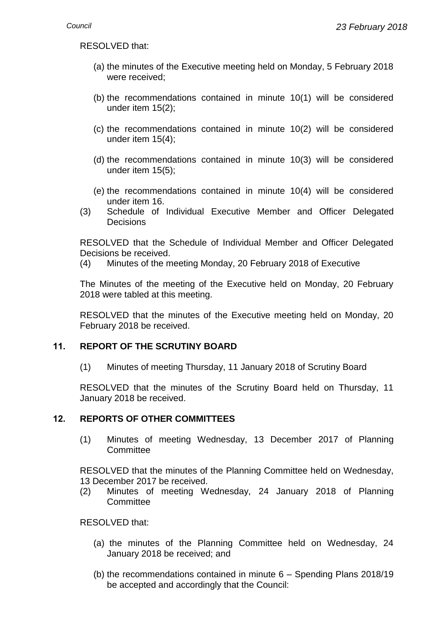RESOLVED that:

- (a) the minutes of the Executive meeting held on Monday, 5 February 2018 were received;
- (b) the recommendations contained in minute 10(1) will be considered under item 15(2);
- (c) the recommendations contained in minute 10(2) will be considered under item 15(4);
- (d) the recommendations contained in minute 10(3) will be considered under item 15(5);
- (e) the recommendations contained in minute 10(4) will be considered under item 16.
- (3) Schedule of Individual Executive Member and Officer Delegated **Decisions**

RESOLVED that the Schedule of Individual Member and Officer Delegated Decisions be received.

(4) Minutes of the meeting Monday, 20 February 2018 of Executive

The Minutes of the meeting of the Executive held on Monday, 20 February 2018 were tabled at this meeting.

RESOLVED that the minutes of the Executive meeting held on Monday, 20 February 2018 be received.

# **11. REPORT OF THE SCRUTINY BOARD**

(1) Minutes of meeting Thursday, 11 January 2018 of Scrutiny Board

RESOLVED that the minutes of the Scrutiny Board held on Thursday, 11 January 2018 be received.

#### **12. REPORTS OF OTHER COMMITTEES**

(1) Minutes of meeting Wednesday, 13 December 2017 of Planning **Committee** 

RESOLVED that the minutes of the Planning Committee held on Wednesday, 13 December 2017 be received.

(2) Minutes of meeting Wednesday, 24 January 2018 of Planning **Committee** 

RESOLVED that:

- (a) the minutes of the Planning Committee held on Wednesday, 24 January 2018 be received; and
- (b) the recommendations contained in minute 6 Spending Plans 2018/19 be accepted and accordingly that the Council: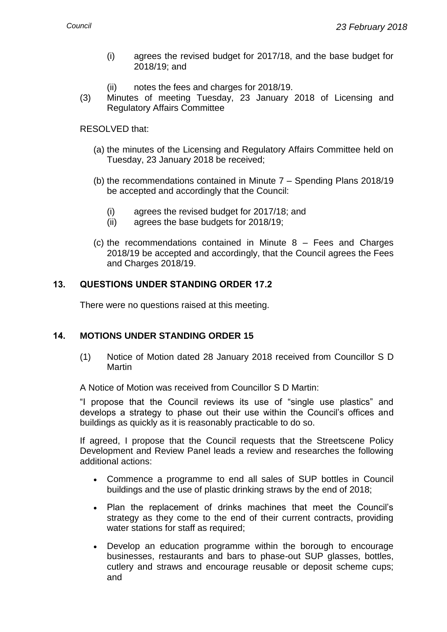- (i) agrees the revised budget for 2017/18, and the base budget for 2018/19; and
- (ii) notes the fees and charges for 2018/19.
- (3) Minutes of meeting Tuesday, 23 January 2018 of Licensing and Regulatory Affairs Committee

# RESOLVED that:

- (a) the minutes of the Licensing and Regulatory Affairs Committee held on Tuesday, 23 January 2018 be received;
- (b) the recommendations contained in Minute 7 Spending Plans 2018/19 be accepted and accordingly that the Council:
	- (i) agrees the revised budget for 2017/18; and
	- (ii) agrees the base budgets for 2018/19;
- (c) the recommendations contained in Minute 8 Fees and Charges 2018/19 be accepted and accordingly, that the Council agrees the Fees and Charges 2018/19.

# **13. QUESTIONS UNDER STANDING ORDER 17.2**

There were no questions raised at this meeting.

# **14. MOTIONS UNDER STANDING ORDER 15**

(1) Notice of Motion dated 28 January 2018 received from Councillor S D Martin

A Notice of Motion was received from Councillor S D Martin:

"I propose that the Council reviews its use of "single use plastics" and develops a strategy to phase out their use within the Council's offices and buildings as quickly as it is reasonably practicable to do so.

If agreed, I propose that the Council requests that the Streetscene Policy Development and Review Panel leads a review and researches the following additional actions:

- Commence a programme to end all sales of SUP bottles in Council buildings and the use of plastic drinking straws by the end of 2018;
- Plan the replacement of drinks machines that meet the Council's strategy as they come to the end of their current contracts, providing water stations for staff as required;
- Develop an education programme within the borough to encourage businesses, restaurants and bars to phase-out SUP glasses, bottles, cutlery and straws and encourage reusable or deposit scheme cups; and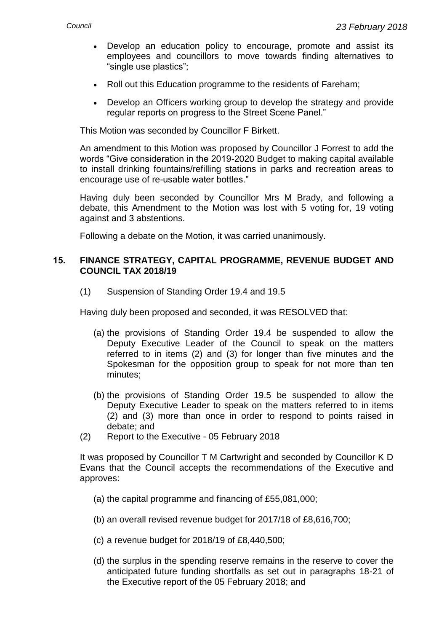- Develop an education policy to encourage, promote and assist its employees and councillors to move towards finding alternatives to "single use plastics";
- Roll out this Education programme to the residents of Fareham;
- Develop an Officers working group to develop the strategy and provide regular reports on progress to the Street Scene Panel."

This Motion was seconded by Councillor F Birkett.

An amendment to this Motion was proposed by Councillor J Forrest to add the words "Give consideration in the 2019-2020 Budget to making capital available to install drinking fountains/refilling stations in parks and recreation areas to encourage use of re-usable water bottles."

Having duly been seconded by Councillor Mrs M Brady, and following a debate, this Amendment to the Motion was lost with 5 voting for, 19 voting against and 3 abstentions.

Following a debate on the Motion, it was carried unanimously.

#### **15. FINANCE STRATEGY, CAPITAL PROGRAMME, REVENUE BUDGET AND COUNCIL TAX 2018/19**

(1) Suspension of Standing Order 19.4 and 19.5

Having duly been proposed and seconded, it was RESOLVED that:

- (a) the provisions of Standing Order 19.4 be suspended to allow the Deputy Executive Leader of the Council to speak on the matters referred to in items (2) and (3) for longer than five minutes and the Spokesman for the opposition group to speak for not more than ten minutes;
- (b) the provisions of Standing Order 19.5 be suspended to allow the Deputy Executive Leader to speak on the matters referred to in items (2) and (3) more than once in order to respond to points raised in debate; and
- (2) Report to the Executive 05 February 2018

It was proposed by Councillor T M Cartwright and seconded by Councillor K D Evans that the Council accepts the recommendations of the Executive and approves:

- (a) the capital programme and financing of £55,081,000;
- (b) an overall revised revenue budget for 2017/18 of £8,616,700;
- (c) a revenue budget for 2018/19 of £8,440,500;
- (d) the surplus in the spending reserve remains in the reserve to cover the anticipated future funding shortfalls as set out in paragraphs 18-21 of the Executive report of the 05 February 2018; and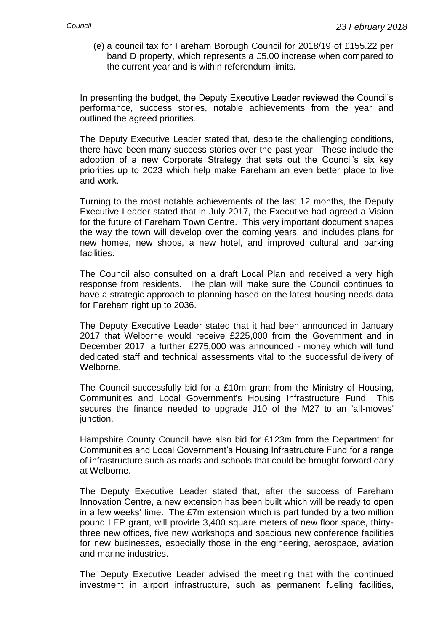(e) a council tax for Fareham Borough Council for 2018/19 of £155.22 per band D property, which represents a £5.00 increase when compared to the current year and is within referendum limits.

In presenting the budget, the Deputy Executive Leader reviewed the Council's performance, success stories, notable achievements from the year and outlined the agreed priorities.

The Deputy Executive Leader stated that, despite the challenging conditions, there have been many success stories over the past year. These include the adoption of a new Corporate Strategy that sets out the Council's six key priorities up to 2023 which help make Fareham an even better place to live and work.

Turning to the most notable achievements of the last 12 months, the Deputy Executive Leader stated that in July 2017, the Executive had agreed a Vision for the future of Fareham Town Centre. This very important document shapes the way the town will develop over the coming years, and includes plans for new homes, new shops, a new hotel, and improved cultural and parking facilities.

The Council also consulted on a draft Local Plan and received a very high response from residents. The plan will make sure the Council continues to have a strategic approach to planning based on the latest housing needs data for Fareham right up to 2036.

The Deputy Executive Leader stated that it had been announced in January 2017 that Welborne would receive £225,000 from the Government and in December 2017, a further £275,000 was announced - money which will fund dedicated staff and technical assessments vital to the successful delivery of Welborne.

The Council successfully bid for a £10m grant from the Ministry of Housing, Communities and Local Government's Housing Infrastructure Fund. This secures the finance needed to upgrade J10 of the M27 to an 'all-moves' junction.

Hampshire County Council have also bid for £123m from the Department for Communities and Local Government's Housing Infrastructure Fund for a range of infrastructure such as roads and schools that could be brought forward early at Welborne.

The Deputy Executive Leader stated that, after the success of Fareham Innovation Centre, a new extension has been built which will be ready to open in a few weeks' time. The £7m extension which is part funded by a two million pound LEP grant, will provide 3,400 square meters of new floor space, thirtythree new offices, five new workshops and spacious new conference facilities for new businesses, especially those in the engineering, aerospace, aviation and marine industries.

The Deputy Executive Leader advised the meeting that with the continued investment in airport infrastructure, such as permanent fueling facilities,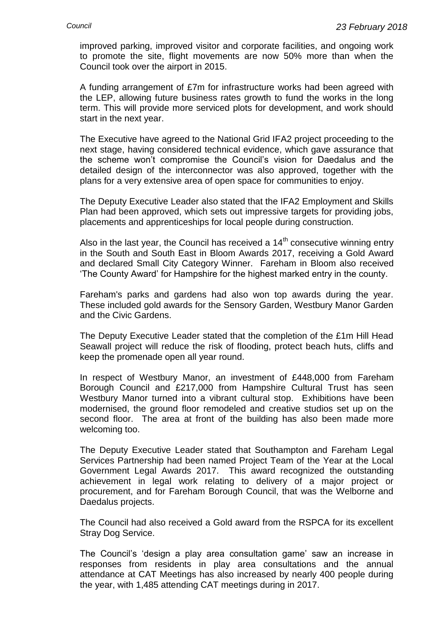improved parking, improved visitor and corporate facilities, and ongoing work to promote the site, flight movements are now 50% more than when the Council took over the airport in 2015.

A funding arrangement of £7m for infrastructure works had been agreed with the LEP, allowing future business rates growth to fund the works in the long term. This will provide more serviced plots for development, and work should start in the next year.

The Executive have agreed to the National Grid IFA2 project proceeding to the next stage, having considered technical evidence, which gave assurance that the scheme won't compromise the Council's vision for Daedalus and the detailed design of the interconnector was also approved, together with the plans for a very extensive area of open space for communities to enjoy.

The Deputy Executive Leader also stated that the IFA2 Employment and Skills Plan had been approved, which sets out impressive targets for providing jobs, placements and apprenticeships for local people during construction.

Also in the last year, the Council has received a  $14<sup>th</sup>$  consecutive winning entry in the South and South East in Bloom Awards 2017, receiving a Gold Award and declared Small City Category Winner. Fareham in Bloom also received 'The County Award' for Hampshire for the highest marked entry in the county.

Fareham's parks and gardens had also won top awards during the year. These included gold awards for the Sensory Garden, Westbury Manor Garden and the Civic Gardens.

The Deputy Executive Leader stated that the completion of the £1m Hill Head Seawall project will reduce the risk of flooding, protect beach huts, cliffs and keep the promenade open all year round.

In respect of Westbury Manor, an investment of £448,000 from Fareham Borough Council and £217,000 from Hampshire Cultural Trust has seen Westbury Manor turned into a vibrant cultural stop. Exhibitions have been modernised, the ground floor remodeled and creative studios set up on the second floor. The area at front of the building has also been made more welcoming too.

The Deputy Executive Leader stated that Southampton and Fareham Legal Services Partnership had been named Project Team of the Year at the Local Government Legal Awards 2017. This award recognized the outstanding achievement in legal work relating to delivery of a major project or procurement, and for Fareham Borough Council, that was the Welborne and Daedalus projects.

The Council had also received a Gold award from the RSPCA for its excellent Stray Dog Service.

The Council's 'design a play area consultation game' saw an increase in responses from residents in play area consultations and the annual attendance at CAT Meetings has also increased by nearly 400 people during the year, with 1,485 attending CAT meetings during in 2017.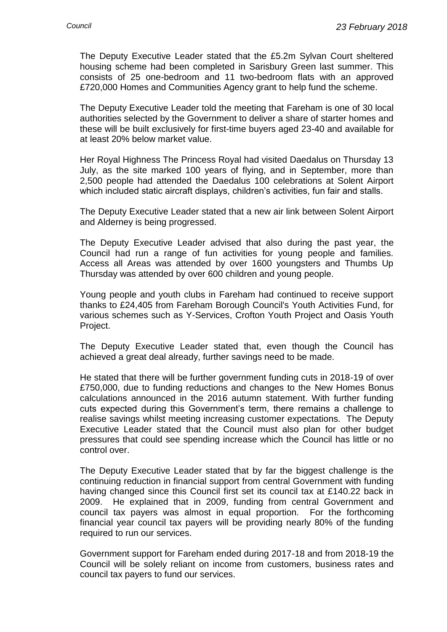The Deputy Executive Leader stated that the £5.2m Sylvan Court sheltered housing scheme had been completed in Sarisbury Green last summer. This consists of 25 one-bedroom and 11 two-bedroom flats with an approved £720,000 Homes and Communities Agency grant to help fund the scheme.

The Deputy Executive Leader told the meeting that Fareham is one of 30 local authorities selected by the Government to deliver a share of starter homes and these will be built exclusively for first-time buyers aged 23-40 and available for at least 20% below market value.

Her Royal Highness The Princess Royal had visited Daedalus on Thursday 13 July, as the site marked 100 years of flying, and in September, more than 2,500 people had attended the Daedalus 100 celebrations at Solent Airport which included static aircraft displays, children's activities, fun fair and stalls.

The Deputy Executive Leader stated that a new air link between Solent Airport and Alderney is being progressed.

The Deputy Executive Leader advised that also during the past year, the Council had run a range of fun activities for young people and families. Access all Areas was attended by over 1600 youngsters and Thumbs Up Thursday was attended by over 600 children and young people.

Young people and youth clubs in Fareham had continued to receive support thanks to £24,405 from Fareham Borough Council's Youth Activities Fund, for various schemes such as Y-Services, Crofton Youth Project and Oasis Youth Project.

The Deputy Executive Leader stated that, even though the Council has achieved a great deal already, further savings need to be made.

He stated that there will be further government funding cuts in 2018-19 of over £750,000, due to funding reductions and changes to the New Homes Bonus calculations announced in the 2016 autumn statement. With further funding cuts expected during this Government's term, there remains a challenge to realise savings whilst meeting increasing customer expectations. The Deputy Executive Leader stated that the Council must also plan for other budget pressures that could see spending increase which the Council has little or no control over.

The Deputy Executive Leader stated that by far the biggest challenge is the continuing reduction in financial support from central Government with funding having changed since this Council first set its council tax at £140.22 back in 2009. He explained that in 2009, funding from central Government and council tax payers was almost in equal proportion. For the forthcoming financial year council tax payers will be providing nearly 80% of the funding required to run our services.

Government support for Fareham ended during 2017-18 and from 2018-19 the Council will be solely reliant on income from customers, business rates and council tax payers to fund our services.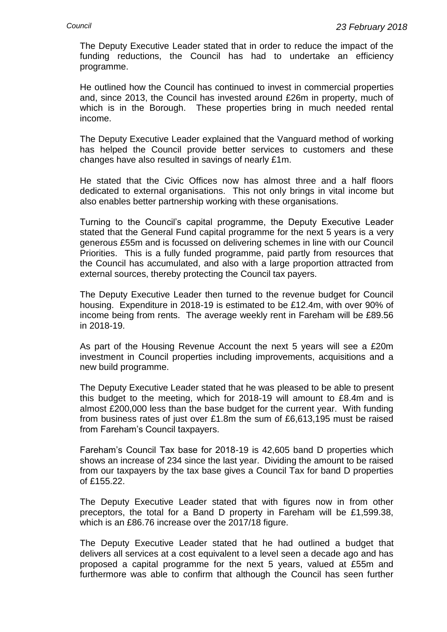The Deputy Executive Leader stated that in order to reduce the impact of the funding reductions, the Council has had to undertake an efficiency programme.

He outlined how the Council has continued to invest in commercial properties and, since 2013, the Council has invested around £26m in property, much of which is in the Borough. These properties bring in much needed rental income.

The Deputy Executive Leader explained that the Vanguard method of working has helped the Council provide better services to customers and these changes have also resulted in savings of nearly £1m.

He stated that the Civic Offices now has almost three and a half floors dedicated to external organisations. This not only brings in vital income but also enables better partnership working with these organisations.

Turning to the Council's capital programme, the Deputy Executive Leader stated that the General Fund capital programme for the next 5 years is a very generous £55m and is focussed on delivering schemes in line with our Council Priorities. This is a fully funded programme, paid partly from resources that the Council has accumulated, and also with a large proportion attracted from external sources, thereby protecting the Council tax payers.

The Deputy Executive Leader then turned to the revenue budget for Council housing. Expenditure in 2018-19 is estimated to be £12.4m, with over 90% of income being from rents. The average weekly rent in Fareham will be £89.56 in 2018-19.

As part of the Housing Revenue Account the next 5 years will see a £20m investment in Council properties including improvements, acquisitions and a new build programme.

The Deputy Executive Leader stated that he was pleased to be able to present this budget to the meeting, which for 2018-19 will amount to £8.4m and is almost £200,000 less than the base budget for the current year. With funding from business rates of just over £1.8m the sum of £6,613,195 must be raised from Fareham's Council taxpayers.

Fareham's Council Tax base for 2018-19 is 42,605 band D properties which shows an increase of 234 since the last year. Dividing the amount to be raised from our taxpayers by the tax base gives a Council Tax for band D properties of £155.22.

The Deputy Executive Leader stated that with figures now in from other preceptors, the total for a Band D property in Fareham will be £1,599.38, which is an £86.76 increase over the 2017/18 figure.

The Deputy Executive Leader stated that he had outlined a budget that delivers all services at a cost equivalent to a level seen a decade ago and has proposed a capital programme for the next 5 years, valued at £55m and furthermore was able to confirm that although the Council has seen further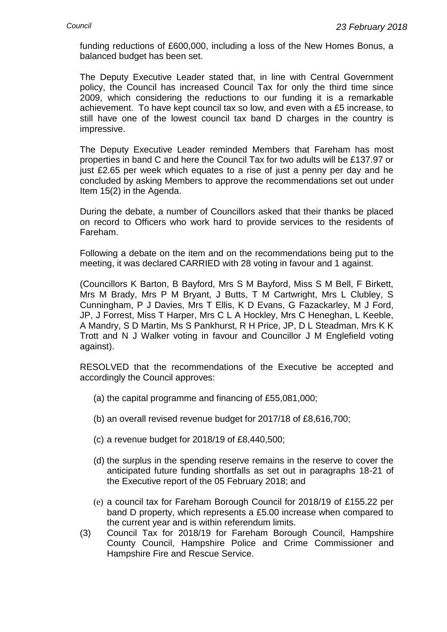funding reductions of £600,000, including a loss of the New Homes Bonus, a balanced budget has been set.

The Deputy Executive Leader stated that, in line with Central Government policy, the Council has increased Council Tax for only the third time since 2009, which considering the reductions to our funding it is a remarkable achievement. To have kept council tax so low, and even with a £5 increase, to still have one of the lowest council tax band D charges in the country is impressive.

The Deputy Executive Leader reminded Members that Fareham has most properties in band C and here the Council Tax for two adults will be £137.97 or just £2.65 per week which equates to a rise of just a penny per day and he concluded by asking Members to approve the recommendations set out under Item 15(2) in the Agenda.

During the debate, a number of Councillors asked that their thanks be placed on record to Officers who work hard to provide services to the residents of Fareham.

Following a debate on the item and on the recommendations being put to the meeting, it was declared CARRIED with 28 voting in favour and 1 against.

(Councillors K Barton, B Bayford, Mrs S M Bayford, Miss S M Bell, F Birkett, Mrs M Brady, Mrs P M Bryant, J Butts, T M Cartwright, Mrs L Clubley, S Cunningham, P J Davies, Mrs T Ellis, K D Evans, G Fazackarley, M J Ford, JP, J Forrest, Miss T Harper, Mrs C L A Hockley, Mrs C Heneghan, L Keeble, A Mandry, S D Martin, Ms S Pankhurst, R H Price, JP, D L Steadman, Mrs K K Trott and N J Walker voting in favour and Councillor J M Englefield voting against).

RESOLVED that the recommendations of the Executive be accepted and accordingly the Council approves:

- (a) the capital programme and financing of £55,081,000;
- (b) an overall revised revenue budget for 2017/18 of £8,616,700;
- (c) a revenue budget for 2018/19 of £8,440,500;
- (d) the surplus in the spending reserve remains in the reserve to cover the anticipated future funding shortfalls as set out in paragraphs 18-21 of the Executive report of the 05 February 2018; and
- (e) a council tax for Fareham Borough Council for 2018/19 of £155.22 per band D property, which represents a £5.00 increase when compared to the current year and is within referendum limits.
- (3) Council Tax for 2018/19 for Fareham Borough Council, Hampshire County Council, Hampshire Police and Crime Commissioner and Hampshire Fire and Rescue Service.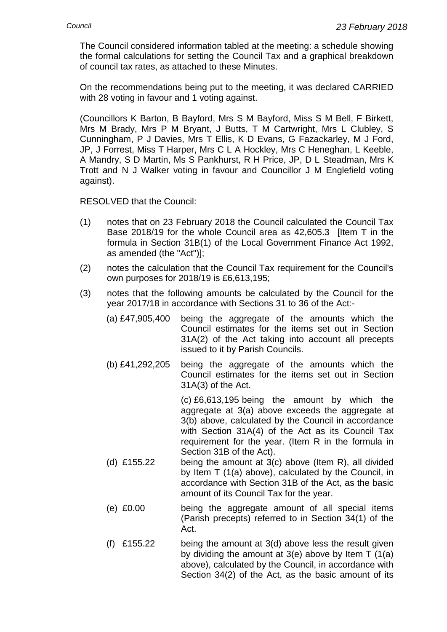The Council considered information tabled at the meeting: a schedule showing the formal calculations for setting the Council Tax and a graphical breakdown of council tax rates, as attached to these Minutes.

On the recommendations being put to the meeting, it was declared CARRIED with 28 voting in favour and 1 voting against.

(Councillors K Barton, B Bayford, Mrs S M Bayford, Miss S M Bell, F Birkett, Mrs M Brady, Mrs P M Bryant, J Butts, T M Cartwright, Mrs L Clubley, S Cunningham, P J Davies, Mrs T Ellis, K D Evans, G Fazackarley, M J Ford, JP, J Forrest, Miss T Harper, Mrs C L A Hockley, Mrs C Heneghan, L Keeble, A Mandry, S D Martin, Ms S Pankhurst, R H Price, JP, D L Steadman, Mrs K Trott and N J Walker voting in favour and Councillor J M Englefield voting against).

RESOLVED that the Council:

- (1) notes that on 23 February 2018 the Council calculated the Council Tax Base 2018/19 for the whole Council area as 42,605.3 [Item T in the formula in Section 31B(1) of the Local Government Finance Act 1992, as amended (the "Act")];
- (2) notes the calculation that the Council Tax requirement for the Council's own purposes for 2018/19 is £6,613,195;
- (3) notes that the following amounts be calculated by the Council for the year 2017/18 in accordance with Sections 31 to 36 of the Act:-
	- (a) £47,905,400 being the aggregate of the amounts which the Council estimates for the items set out in Section 31A(2) of the Act taking into account all precepts issued to it by Parish Councils.
	- (b) £41,292,205 being the aggregate of the amounts which the Council estimates for the items set out in Section 31A(3) of the Act.

(c) £6,613,195 being the amount by which the aggregate at 3(a) above exceeds the aggregate at 3(b) above, calculated by the Council in accordance with Section 31A(4) of the Act as its Council Tax requirement for the year. (Item R in the formula in Section 31B of the Act).

- (d)  $£155.22$  being the amount at  $3(c)$  above (Item R), all divided by Item T (1(a) above), calculated by the Council, in accordance with Section 31B of the Act, as the basic amount of its Council Tax for the year.
- (e) £0.00 being the aggregate amount of all special items (Parish precepts) referred to in Section 34(1) of the Act.
- (f) £155.22 being the amount at 3(d) above less the result given by dividing the amount at  $3(e)$  above by Item T  $(1(a))$ above), calculated by the Council, in accordance with Section 34(2) of the Act, as the basic amount of its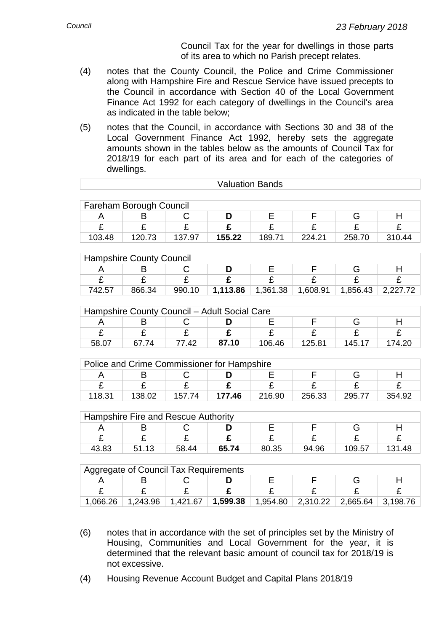Council Tax for the year for dwellings in those parts of its area to which no Parish precept relates.

- (4) notes that the County Council, the Police and Crime Commissioner along with Hampshire Fire and Rescue Service have issued precepts to the Council in accordance with Section 40 of the Local Government Finance Act 1992 for each category of dwellings in the Council's area as indicated in the table below;
- (5) notes that the Council, in accordance with Sections 30 and 38 of the Local Government Finance Act 1992, hereby sets the aggregate amounts shown in the tables below as the amounts of Council Tax for 2018/19 for each part of its area and for each of the categories of dwellings.

| <b>Valuation Bands</b>                       |                         |                         |          |                         |                         |                         |                         |
|----------------------------------------------|-------------------------|-------------------------|----------|-------------------------|-------------------------|-------------------------|-------------------------|
|                                              |                         |                         |          |                         |                         |                         |                         |
| Fareham Borough Council                      |                         |                         |          |                         |                         |                         |                         |
| A                                            | B                       | С                       | D        | Е                       | F                       | G                       | H                       |
| £                                            | £                       | £                       | £        | £                       | £                       | £                       | £                       |
| 103.48                                       | 120.73                  | 137.97                  | 155.22   | 189.71                  | 224.21                  | 258.70                  | 310.44                  |
|                                              |                         |                         |          |                         |                         |                         |                         |
| <b>Hampshire County Council</b>              |                         |                         |          |                         |                         |                         |                         |
| A                                            | B                       | C                       | D        | E                       | F                       | G                       | H                       |
| $\overline{\mathbf{f}}$                      | $\overline{\mathbf{f}}$ | $\overline{\mathbf{f}}$ | £        | $\overline{\mathbf{f}}$ | $\overline{\mathbf{f}}$ | $\overline{f}$          | $\overline{\mathbf{f}}$ |
| 742.57                                       | 866.34                  | 990.10                  | 1,113.86 | 1,361.38                | 1,608.91                | 1,856.43                | 2,227.72                |
|                                              |                         |                         |          |                         |                         |                         |                         |
| Hampshire County Council - Adult Social Care |                         |                         |          |                         |                         |                         |                         |
| A                                            | B                       | C                       | D        | Е                       | F                       | G                       | H                       |
| £                                            | £                       | £                       | £        | £                       | £                       | £                       | £                       |
| 58.07                                        | 67.74                   | 77.42                   | 87.10    | 106.46                  | 125.81                  | 145.17                  | 174.20                  |
|                                              |                         |                         |          |                         |                         |                         |                         |
| Police and Crime Commissioner for Hampshire  |                         |                         |          |                         |                         |                         |                         |
| A                                            | B                       | C                       | D        | E                       | F                       | G                       | H                       |
| £                                            | £                       | £                       | £        | £                       | £                       | £                       | £                       |
| 118.31                                       | 138.02                  | 157.74                  | 177.46   | 216.90                  | 256.33                  | 295.77                  | 354.92                  |
|                                              |                         |                         |          |                         |                         |                         |                         |
| Hampshire Fire and Rescue Authority          |                         |                         |          |                         |                         |                         |                         |
| A                                            | B                       | С                       | D        | E                       | F                       | G                       | H                       |
| £                                            | £                       | £                       | £        | £                       | £                       | £                       | £                       |
| 43.83                                        | 51.13                   | 58.44                   | 65.74    | 80.35                   | 94.96                   | 109.57                  | 131.48                  |
|                                              |                         |                         |          |                         |                         |                         |                         |
| <b>Aggregate of Council Tax Requirements</b> |                         |                         |          |                         |                         |                         |                         |
| A                                            | B                       | C                       | D        | Ε                       | F                       | G                       | H                       |
| $\overline{\mathbf{f}}$                      | £                       | $\overline{\mathbf{f}}$ | £        | £                       | $\overline{\mathrm{E}}$ | $\overline{\mathbf{f}}$ | £                       |

- 1,066.26 1,243.96 1,421.67 **1,599.38** 1,954.80 2,310.22 2,665.64 3,198.76
- (6) notes that in accordance with the set of principles set by the Ministry of Housing, Communities and Local Government for the year, it is determined that the relevant basic amount of council tax for 2018/19 is not excessive.
- (4) Housing Revenue Account Budget and Capital Plans 2018/19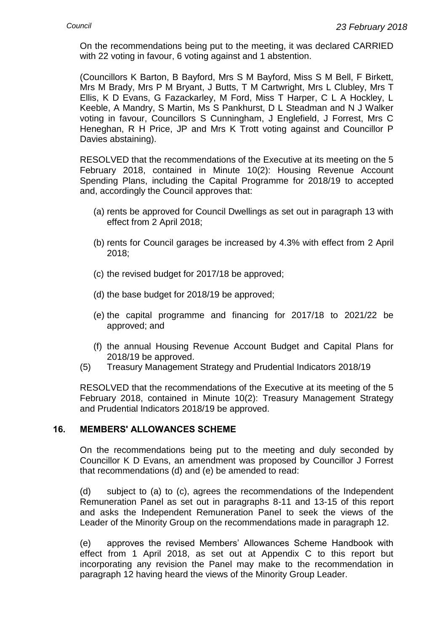On the recommendations being put to the meeting, it was declared CARRIED with 22 voting in favour, 6 voting against and 1 abstention.

(Councillors K Barton, B Bayford, Mrs S M Bayford, Miss S M Bell, F Birkett, Mrs M Brady, Mrs P M Bryant, J Butts, T M Cartwright, Mrs L Clubley, Mrs T Ellis, K D Evans, G Fazackarley, M Ford, Miss T Harper, C L A Hockley, L Keeble, A Mandry, S Martin, Ms S Pankhurst, D L Steadman and N J Walker voting in favour, Councillors S Cunningham, J Englefield, J Forrest, Mrs C Heneghan, R H Price, JP and Mrs K Trott voting against and Councillor P Davies abstaining).

RESOLVED that the recommendations of the Executive at its meeting on the 5 February 2018, contained in Minute 10(2): Housing Revenue Account Spending Plans, including the Capital Programme for 2018/19 to accepted and, accordingly the Council approves that:

- (a) rents be approved for Council Dwellings as set out in paragraph 13 with effect from 2 April 2018;
- (b) rents for Council garages be increased by 4.3% with effect from 2 April 2018;
- (c) the revised budget for 2017/18 be approved;
- (d) the base budget for 2018/19 be approved;
- (e) the capital programme and financing for 2017/18 to 2021/22 be approved; and
- (f) the annual Housing Revenue Account Budget and Capital Plans for 2018/19 be approved.
- (5) Treasury Management Strategy and Prudential Indicators 2018/19

RESOLVED that the recommendations of the Executive at its meeting of the 5 February 2018, contained in Minute 10(2): Treasury Management Strategy and Prudential Indicators 2018/19 be approved.

#### **16. MEMBERS' ALLOWANCES SCHEME**

On the recommendations being put to the meeting and duly seconded by Councillor K D Evans, an amendment was proposed by Councillor J Forrest that recommendations (d) and (e) be amended to read:

(d) subject to (a) to (c), agrees the recommendations of the Independent Remuneration Panel as set out in paragraphs 8-11 and 13-15 of this report and asks the Independent Remuneration Panel to seek the views of the Leader of the Minority Group on the recommendations made in paragraph 12.

(e) approves the revised Members' Allowances Scheme Handbook with effect from 1 April 2018, as set out at Appendix C to this report but incorporating any revision the Panel may make to the recommendation in paragraph 12 having heard the views of the Minority Group Leader.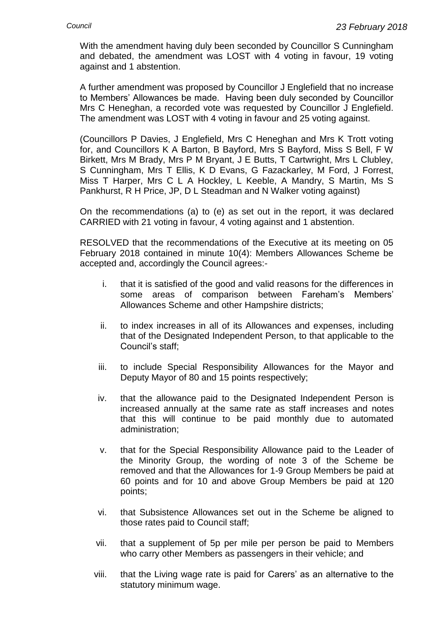With the amendment having duly been seconded by Councillor S Cunningham and debated, the amendment was LOST with 4 voting in favour, 19 voting against and 1 abstention.

A further amendment was proposed by Councillor J Englefield that no increase to Members' Allowances be made. Having been duly seconded by Councillor Mrs C Heneghan, a recorded vote was requested by Councillor J Englefield. The amendment was LOST with 4 voting in favour and 25 voting against.

(Councillors P Davies, J Englefield, Mrs C Heneghan and Mrs K Trott voting for, and Councillors K A Barton, B Bayford, Mrs S Bayford, Miss S Bell, F W Birkett, Mrs M Brady, Mrs P M Bryant, J E Butts, T Cartwright, Mrs L Clubley, S Cunningham, Mrs T Ellis, K D Evans, G Fazackarley, M Ford, J Forrest, Miss T Harper, Mrs C L A Hockley, L Keeble, A Mandry, S Martin, Ms S Pankhurst, R H Price, JP, D L Steadman and N Walker voting against)

On the recommendations (a) to (e) as set out in the report, it was declared CARRIED with 21 voting in favour, 4 voting against and 1 abstention.

RESOLVED that the recommendations of the Executive at its meeting on 05 February 2018 contained in minute 10(4): Members Allowances Scheme be accepted and, accordingly the Council agrees:-

- i. that it is satisfied of the good and valid reasons for the differences in some areas of comparison between Fareham's Members' Allowances Scheme and other Hampshire districts;
- ii. to index increases in all of its Allowances and expenses, including that of the Designated Independent Person, to that applicable to the Council's staff;
- iii. to include Special Responsibility Allowances for the Mayor and Deputy Mayor of 80 and 15 points respectively;
- iv. that the allowance paid to the Designated Independent Person is increased annually at the same rate as staff increases and notes that this will continue to be paid monthly due to automated administration;
- v. that for the Special Responsibility Allowance paid to the Leader of the Minority Group, the wording of note 3 of the Scheme be removed and that the Allowances for 1-9 Group Members be paid at 60 points and for 10 and above Group Members be paid at 120 points;
- vi. that Subsistence Allowances set out in the Scheme be aligned to those rates paid to Council staff;
- vii. that a supplement of 5p per mile per person be paid to Members who carry other Members as passengers in their vehicle; and
- viii. that the Living wage rate is paid for Carers' as an alternative to the statutory minimum wage.